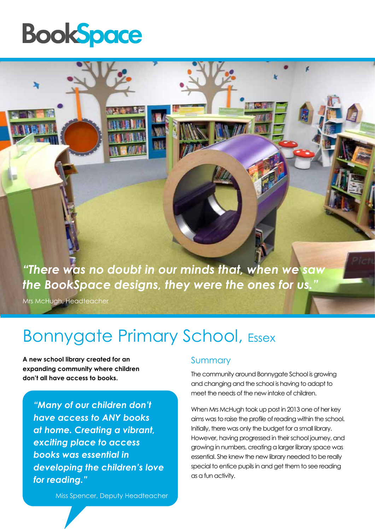## **BookSpace**

*"There was no doubt in our minds that, when we saw the BookSpace designs, they were the ones for us."* 

Mrs McHugh, Headteacher

### Bonnygate Primary School, Essex

**A new school library created for an expanding community where children don't all have access to books.**

*"Many of our children don't have access to ANY books at home. Creating a vibrant, exciting place to access books was essential in developing the children's love for reading."*

Miss Spencer, Deputy Headteacher

#### Summary

The community around Bonnygate School is growing and changing and the school is having to adapt to meet the needs of the new intake of children.

When Mrs McHugh took up post in 2013 one of her key aims was to raise the profile of reading within the school. Initially, there was only the budget for a small library. However, having progressed in their school journey, and growing in numbers, creating a larger library space was essential. She knew the new library needed to be really special to entice pupils in and get them to see reading as a fun activity.